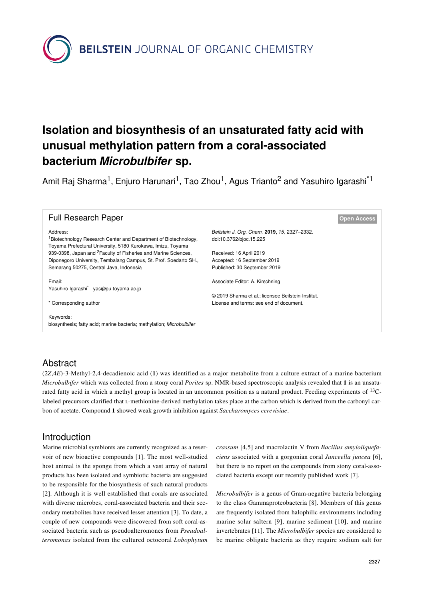**BEILSTEIN** JOURNAL OF ORGANIC CHEMISTRY

# **Isolation and biosynthesis of an unsaturated fatty acid with unusual methylation pattern from a coral-associated bacterium** *Microbulbifer* **sp.**

Amit Raj Sharma<sup>1</sup>, Enjuro Harunari<sup>1</sup>, Tao Zhou<sup>1</sup>, Agus Trianto<sup>2</sup> and Yasuhiro Igarashi<sup>\*1</sup>

| <b>Full Research Paper</b>                                                                                                    |                                                    | <b>Open Access</b> |
|-------------------------------------------------------------------------------------------------------------------------------|----------------------------------------------------|--------------------|
| Address:                                                                                                                      | Beilstein J. Org. Chem. 2019, 15, 2327-2332.       |                    |
| Biotechnology Research Center and Department of Biotechnology,<br>Toyama Prefectural University, 5180 Kurokawa, Imizu, Toyama | doi:10.3762/bioc.15.225                            |                    |
| 939-0398, Japan and <sup>2</sup> Faculty of Fisheries and Marine Sciences,                                                    | Received: 16 April 2019                            |                    |
| Diponegoro University, Tembalang Campus, St. Prof. Soedarto SH.,                                                              | Accepted: 16 September 2019                        |                    |
| Semarang 50275, Central Java, Indonesia                                                                                       | Published: 30 September 2019                       |                    |
| Email:                                                                                                                        | Associate Editor: A. Kirschning                    |                    |
| Yasuhiro Igarashi <sup>*</sup> - yas@pu-toyama.ac.jp                                                                          |                                                    |                    |
|                                                                                                                               | © 2019 Sharma et al.; licensee Beilstein-Institut. |                    |
| * Corresponding author                                                                                                        | License and terms: see end of document.            |                    |
| Keywords:                                                                                                                     |                                                    |                    |
| biosynthesis; fatty acid; marine bacteria; methylation; Microbulbifer                                                         |                                                    |                    |
|                                                                                                                               |                                                    |                    |
|                                                                                                                               |                                                    |                    |

### **Abstract**

(2*Z*,4*E*)-3-Methyl-2,4-decadienoic acid (**1**) was identified as a major metabolite from a culture extract of a marine bacterium *Microbulbifer* which was collected from a stony coral *Porites* sp. NMR-based spectroscopic analysis revealed that **1** is an unsaturated fatty acid in which a methyl group is located in an uncommon position as a natural product. Feeding experiments of <sup>13</sup>Clabeled precursors clarified that *L*-methionine-derived methylation takes place at the carbon which is derived from the carbonyl carbon of acetate. Compound **1** showed weak growth inhibition against *Saccharomyces cerevisiae*.

### Introduction

Marine microbial symbionts are currently recognized as a reservoir of new bioactive compounds [\[1\]](#page-5-0). The most well-studied host animal is the sponge from which a vast array of natural products has been isolated and symbiotic bacteria are suggested to be responsible for the biosynthesis of such natural products [\[2\]](#page-5-1). Although it is well established that corals are associated with diverse microbes, coral-associated bacteria and their secondary metabolites have received lesser attention [\[3\].](#page-5-2) To date, a couple of new compounds were discovered from soft coral-associated bacteria such as pseudoalteromones from *Pseudoalteromonas* isolated from the cultured octocoral *Lobophytum*

*crassum* [\[4,5\]](#page-5-3) and macrolactin V from *Bacillus amyloliquefaciens* associated with a gorgonian coral *Junceella juncea* [\[6\]](#page-5-4), but there is no report on the compounds from stony coral-associated bacteria except our recently published work [\[7\]](#page-5-5).

*Microbulbifer* is a genus of Gram-negative bacteria belonging to the class Gammaproteobacteria [\[8\]](#page-5-6). Members of this genus are frequently isolated from halophilic environments including marine solar saltern [\[9\]](#page-5-7), marine sediment [\[10\]](#page-5-8), and marine invertebrates [\[11\].](#page-5-9) The *Microbulbifer* species are considered to be marine obligate bacteria as they require sodium salt for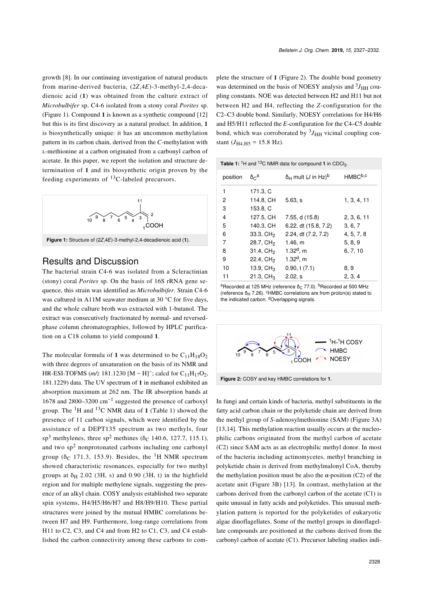growth [\[8\].](#page-5-6) In our continuing investigation of natural products from marine-derived bacteria, (2*Z*,4*E*)-3-methyl-2,4-decadienoic acid (**1**) was obtained from the culture extract of *Microbulbifer* sp. C4-6 isolated from a stony coral *Porites* sp. ([Figure 1\)](#page-1-0). Compound **1** is known as a synthetic compound [\[12\]](#page-5-10) but this is its first discovery as a natural product. In addition, **1** is biosynthetically unique: it has an uncommon methylation pattern in its carbon chain, derived from the *C*-methylation with ʟ-methionine at a carbon originated from a carbonyl carbon of acetate. In this paper, we report the isolation and structure determination of **1** and its biosynthetic origin proven by the feeding experiments of 13C-labeled precursors.

<span id="page-1-0"></span>

### Results and Discussion

The bacterial strain C4-6 was isolated from a Scleractinian (stony) coral *Porites* sp. On the basis of 16S rRNA gene sequence, this strain was identified as *Microbulbifer*. Strain C4-6 was cultured in A11M seawater medium at 30 °C for five days, and the whole culture broth was extracted with 1-butanol. The extract was consecutively fractionated by normal- and reversedphase column chromatographies, followed by HPLC purification on a C18 column to yield compound **1**.

The molecular formula of 1 was determined to be  $C_{11}H_{18}O_2$ with three degrees of unsaturation on the basis of its NMR and HR-ESI-TOFMS (*m/z* 181.1230 [M − H]<sup>-</sup>; calcd for C<sub>11</sub>H<sub>17</sub>O<sub>2</sub>, 181.1229) data. The UV spectrum of **1** in methanol exhibited an absorption maximum at 262 nm. The IR absorption bands at 1678 and 2800–3200 cm−<sup>1</sup> suggested the presence of carboxyl group. The 1H and 13C NMR data of **1** ([Table 1](#page-1-1)) showed the presence of 11 carbon signals, which were identified by the assistance of a DEPT135 spectrum as two methyls, four sp<sup>3</sup> methylenes, three sp<sup>2</sup> methines ( $\delta$ <sub>C</sub> 140.6, 127.7, 115.1), and two  $sp<sup>2</sup>$  nonprotonated carbons including one carbonyl group ( $\delta$ C 171.3, 153.9). Besides, the <sup>1</sup>H NMR spectrum showed characteristic resonances, especially for two methyl groups at  $\delta$ <sub>H</sub> 2.02 (3H, s) and 0.90 (3H, t) in the highfield region and for multiple methylene signals, suggesting the presence of an alkyl chain. COSY analysis established two separate spin systems, H4/H5/H6/H7 and H8/H9/H10. These partial structures were joined by the mutual HMBC correlations between H7 and H9. Furthermore, long-range correlations from H11 to C2, C3, and C4 and from H2 to C1, C3, and C4 established the carbon connectivity among these carbons to complete the structure of **1** ([Figure 2](#page-1-2)). The double bond geometry was determined on the basis of NOESY analysis and  $\mathrm{^{3}J_{HH}}$  coupling constants. NOE was detected between H2 and H11 but not between H2 and H4, reflecting the *Z-*configuration for the C2–C3 double bond. Similarly, NOESY correlations for H4/H6 and H5/H11 reflected the *E*-configuration for the C4–C5 double bond, which was corroborated by  $3J<sub>HH</sub>$  vicinal coupling constant ( $J_{\text{H4,H5}}$  = 15.8 Hz).

<span id="page-1-1"></span>

| Table 1: <sup>1</sup> H and <sup>13</sup> C NMR data for compound 1 in CDCl <sub>3</sub> . |
|--------------------------------------------------------------------------------------------|
|--------------------------------------------------------------------------------------------|

| position | δc <sup>a</sup>        | $\delta_H$ mult ( <i>J</i> in Hz) <sup>b</sup> | HMBC <sup>b,c</sup> |
|----------|------------------------|------------------------------------------------|---------------------|
| 1        | 171.3, C               |                                                |                     |
| 2        | 114.8, CH              | 5.63, s                                        | 1, 3, 4, 11         |
| 3        | 153.8, C               |                                                |                     |
| 4        | 127.5, CH              | 7.55, d (15.8)                                 | 2, 3, 6, 11         |
| 5        | 140.3, CH              | 6.22, dt (15.8, 7.2)                           | 3, 6, 7             |
| 6        | $33.3, \, \text{CH}_2$ | 2.24, dt (7.2, 7.2)                            | 4, 5, 7, 8          |
| 7        | 28.7, CH <sub>2</sub>  | 1.46, m                                        | 5, 8, 9             |
| 8        | $31.4, \text{CH}_2$    | 1.32 $d$ , m                                   | 6, 7, 10            |
| 9        | 22.4, CH <sub>2</sub>  | 1.32 $d$ , m                                   |                     |
| 10       | 13.9, $CH3$            | 0.90, t(7.1)                                   | 8, 9                |
| 11       | 21.3, $CH3$            | 2.02, s                                        | 2, 3, 4             |

<sup>a</sup>Recorded at 125 MHz (reference  $δ<sub>C</sub>$  77.0). <sup>b</sup>Recorded at 500 MHz (reference δ<sub>H</sub> 7.26). <sup>c</sup>HMBC correlations are from proton(s) stated to the indicated carbon. dOverlapping signals.

<span id="page-1-2"></span>



In fungi and certain kinds of bacteria, methyl substituents in the fatty acid carbon chain or the polyketide chain are derived from the methyl group of *S*-adenosylmethionine (SAM) ([Figure 3A](#page-2-0)) [\[13,14\]](#page-5-11). This methylation reaction usually occurs at the nucleophilic carbons originated from the methyl carbon of acetate (C2) since SAM acts as an electrophilic methyl donor. In most of the bacteria including actinomycetes, methyl branching in polyketide chain is derived from methylmalonyl CoA, thereby the methylation position must be also the  $\alpha$ -position (C2) of the acetate unit ([Figure 3B](#page-2-0)) [\[13\]](#page-5-11). In contrast, methylation at the carbons derived from the carbonyl carbon of the acetate (C1) is quite unusual in fatty acids and polyketides. This unusual methylation pattern is reported for the polyketides of eukaryotic algae dinoflagellates. Some of the methyl groups in dinoflagellate compounds are positioned at the carbons derived from the carbonyl carbon of acetate (C1). Precursor labeling studies indi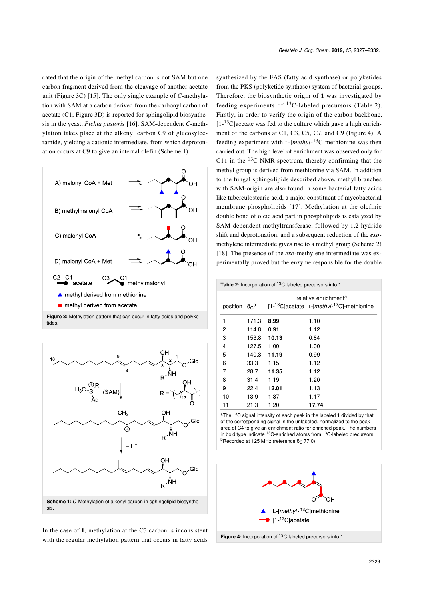cated that the origin of the methyl carbon is not SAM but one carbon fragment derived from the cleavage of another acetate unit ([Figure 3C](#page-2-0)) [\[15\]](#page-5-12). The only single example of *C*-methylation with SAM at a carbon derived from the carbonyl carbon of acetate (C1; [Figure 3D\)](#page-2-0) is reported for sphingolipid biosynthesis in the yeast, *Pichia pastoris* [\[16\]](#page-5-13). SAM-dependent *C*-methylation takes place at the alkenyl carbon C9 of glucosylceramide, yielding a cationic intermediate, from which deprotonation occurs at C9 to give an internal olefin [\(Scheme 1](#page-2-1)).

<span id="page-2-0"></span>

<span id="page-2-1"></span>

In the case of **1**, methylation at the C3 carbon is inconsistent with the regular methylation pattern that occurs in fatty acids synthesized by the FAS (fatty acid synthase) or polyketides from the PKS (polyketide synthase) system of bacterial groups. Therefore, the biosynthetic origin of **1** was investigated by feeding experiments of  $^{13}$ C-labeled precursors ([Table 2](#page-2-2)). Firstly, in order to verify the origin of the carbon backbone,  $[1<sup>13</sup>C]$ acetate was fed to the culture which gave a high enrichment of the carbons at C1, C3, C5, C7, and C9 ([Figure 4](#page-2-3)). A feeding experiment with *L*-[*methyl*-<sup>13</sup>C]methionine was then carried out. The high level of enrichment was observed only for C11 in the  $^{13}$ C NMR spectrum, thereby confirming that the methyl group is derived from methionine via SAM. In addition to the fungal sphingolipids described above, methyl branches with SAM-origin are also found in some bacterial fatty acids like tuberculostearic acid, a major constituent of mycobacterial membrane phospholipids [\[17\]](#page-5-14). Methylation at the olefinic double bond of oleic acid part in phospholipids is catalyzed by SAM-dependent methyltransferase, followed by 1,2-hydride shift and deprotonation, and a subsequent reduction of the *exo*methylene intermediate gives rise to a methyl group [\(Scheme 2](#page-3-0)) [\[18\]](#page-5-15). The presence of the *exo*-methylene intermediate was experimentally proved but the enzyme responsible for the double

<span id="page-2-2"></span>

| Table 2: Incorporation of <sup>13</sup> C-labeled precursors into 1. |       |                                  |                                                                                                     |  |  |
|----------------------------------------------------------------------|-------|----------------------------------|-----------------------------------------------------------------------------------------------------|--|--|
|                                                                      |       | relative enrichment <sup>a</sup> |                                                                                                     |  |  |
|                                                                      |       |                                  | position $\delta_c{}^b$ [1- <sup>13</sup> C]acetate L-[ <i>methyl</i> - <sup>13</sup> C]-methionine |  |  |
| 1                                                                    | 171.3 | 8.99                             | 1.10                                                                                                |  |  |
| 2                                                                    | 114.8 | 0.91                             | 1.12                                                                                                |  |  |
| 3                                                                    |       | 153.8 10.13                      | 0.84                                                                                                |  |  |
| 4                                                                    | 127.5 | 1.00                             | 1.00                                                                                                |  |  |
| 5                                                                    |       | 140.3 11.19                      | 0.99                                                                                                |  |  |
| 6                                                                    | 33.3  | 1.15                             | 1.12                                                                                                |  |  |
| 7                                                                    | 28.7  | 11.35                            | 1.12                                                                                                |  |  |
| 8                                                                    | 31.4  | 1.19                             | 1.20                                                                                                |  |  |
| 9                                                                    | 22.4  | 12.01                            | 1.13                                                                                                |  |  |
| 10                                                                   | 13.9  | 1.37                             | 1.17                                                                                                |  |  |
| 11                                                                   | 21.3  | 1.20                             | 17.74                                                                                               |  |  |

<sup>a</sup>The 13C signal intensity of each peak in the labeled **1** divided by that of the corresponding signal in the unlabeled, normalized to the peak area of C4 to give an enrichment ratio for enriched peak. The numbers in bold type indicate <sup>13</sup>C-enriched atoms from <sup>13</sup>C-labeled precursors.  $<sup>b</sup>$ Recorded at 125 MHz (reference δ<sub>C</sub> 77.0).</sup>

<span id="page-2-3"></span>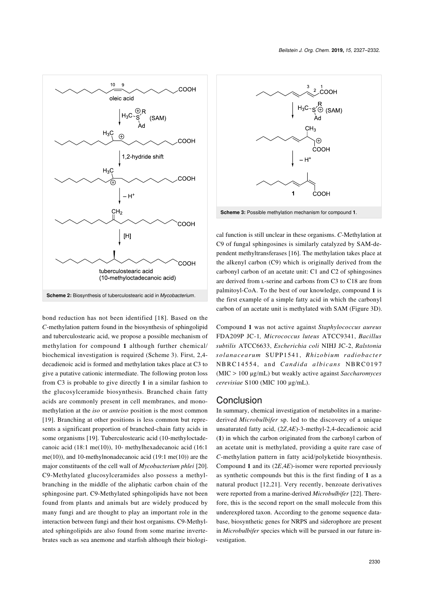<span id="page-3-0"></span>

bond reduction has not been identified [\[18\]](#page-5-15). Based on the *C*-methylation pattern found in the biosynthesis of sphingolipid and tuberculostearic acid, we propose a possible mechanism of methylation for compound **1** although further chemical/ biochemical investigation is required ([Scheme 3\)](#page-3-1). First, 2,4 decadienoic acid is formed and methylation takes place at C3 to give a putative cationic intermediate. The following proton loss from C3 is probable to give directly **1** in a similar fashion to the glucosylceramide biosynthesis. Branched chain fatty acids are commonly present in cell membranes, and monomethylation at the *iso* or *anteiso* position is the most common [\[19\]](#page-5-16). Branching at other positions is less common but represents a significant proportion of branched-chain fatty acids in some organisms [\[19\].](#page-5-16) Tuberculostearic acid (10-methyloctadecanoic acid (18:1 me(10)), 10- methylhexadecanoic acid (16:1 me(10)), and 10-methylnonadecanoic acid (19:1 me(10)) are the major constituents of the cell wall of *Mycobacterium phlei* [\[20\]](#page-5-17). C9-Methylated glucosylceramides also possess a methylbranching in the middle of the aliphatic carbon chain of the sphingosine part. C9-Methylated sphingolipids have not been found from plants and animals but are widely produced by many fungi and are thought to play an important role in the interaction between fungi and their host organisms. C9-Methylated sphingolipids are also found from some marine invertebrates such as sea anemone and starfish although their biologi-

<span id="page-3-1"></span>

cal function is still unclear in these organisms. *C*-Methylation at C9 of fungal sphingosines is similarly catalyzed by SAM-dependent methyltransferases [\[16\].](#page-5-13) The methylation takes place at the alkenyl carbon (C9) which is originally derived from the carbonyl carbon of an acetate unit: C1 and C2 of sphingosines are derived from L-serine and carbons from C3 to C18 are from palmitoyl-CoA. To the best of our knowledge, compound **1** is the first example of a simple fatty acid in which the carbonyl carbon of an acetate unit is methylated with SAM ([Figure 3D](#page-2-0)).

Compound **1** was not active against *Staphylococcus aureus* FDA209P JC-1*, Micrococcus luteus* ATCC9341, *Bacillus subtilis* ATCC6633, *Escherichia coli* NIHJ JC-2, *Ralstonia solanacearum* SUPP1541, *Rhizobium radiobacter* NBRC14554, and *Candida albicans* NBRC0197 (MIC > 100 μg/mL) but weakly active against *Saccharomyces cerevisiae* S100 (MIC 100 μg/mL).

#### **Conclusion**

In summary, chemical investigation of metabolites in a marinederived *Microbulbifer* sp. led to the discovery of a unique unsaturated fatty acid, (2*Z*,4*E*)-3-methyl-2,4-decadienoic acid (**1**) in which the carbon originated from the carbonyl carbon of an acetate unit is methylated, providing a quite rare case of *C*-methylation pattern in fatty acid/polyketide biosynthesis. Compound **1** and its (2*E*,4*E*)-isomer were reported previously as synthetic compounds but this is the first finding of **1** as a natural product [\[12,21\]](#page-5-10). Very recently, benzoate derivatives were reported from a marine-derived *Microbulbifer* [\[22\].](#page-5-18) Therefore, this is the second report on the small molecule from this underexplored taxon. According to the genome sequence database, biosynthetic genes for NRPS and siderophore are present in *Microbulbifer* species which will be pursued in our future investigation.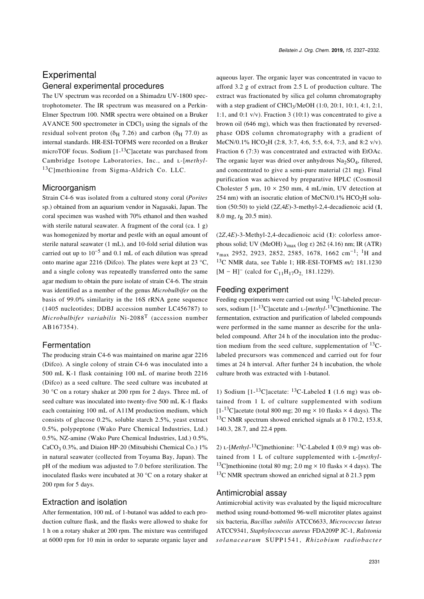### **Experimental** General experimental procedures

The UV spectrum was recorded on a Shimadzu UV-1800 spectrophotometer. The IR spectrum was measured on a Perkin-Elmer Spectrum 100. NMR spectra were obtained on a Bruker AVANCE 500 spectrometer in CDCl<sub>3</sub> using the signals of the residual solvent proton ( $\delta$ <sub>H</sub> 7.26) and carbon ( $\delta$ <sub>H</sub> 77.0) as internal standards. HR-ESI-TOFMS were recorded on a Bruker microTOF focus. Sodium [1-13C]acetate was purchased from Cambridge Isotope Laboratories, Inc., and ʟ-[*methyl*- $13C$  methionine from Sigma-Aldrich Co. LLC.

#### **Microorganism**

Strain C4-6 was isolated from a cultured stony coral (*Porites* sp.) obtained from an aquarium vendor in Nagasaki, Japan. The coral specimen was washed with 70% ethanol and then washed with sterile natural seawater. A fragment of the coral (ca. 1 g) was homogenized by mortar and pestle with an equal amount of sterile natural seawater (1 mL), and 10-fold serial dilution was carried out up to  $10^{-5}$  and 0.1 mL of each dilution was spread onto marine agar 2216 (Difco). The plates were kept at 23 °C, and a single colony was repeatedly transferred onto the same agar medium to obtain the pure isolate of strain C4-6. The strain was identified as a member of the genus *Microbulbifer* on the basis of 99.0% similarity in the 16S rRNA gene sequence (1405 nucleotides; DDBJ accession number LC456787) to *Microbulbifer variabilis* Ni-2088T (accession number AB167354).

#### Fermentation

The producing strain C4-6 was maintained on marine agar 2216 (Difco). A single colony of strain C4-6 was inoculated into a 500 mL K-1 flask containing 100 mL of marine broth 2216 (Difco) as a seed culture. The seed culture was incubated at 30 °C on a rotary shaker at 200 rpm for 2 days. Three mL of seed culture was inoculated into twenty-five 500 mL K-1 flasks each containing 100 mL of A11M production medium, which consists of glucose 0.2%, soluble starch 2.5%, yeast extract 0.5%, polypeptone (Wako Pure Chemical Industries, Ltd.) 0.5%, NZ-amine (Wako Pure Chemical Industries, Ltd.) 0.5%,  $CaCO<sub>3</sub> 0.3%$ , and Diaion HP-20 (Mitsubishi Chemical Co.) 1% in natural seawater (collected from Toyama Bay, Japan). The pH of the medium was adjusted to 7.0 before sterilization. The inoculated flasks were incubated at 30 °C on a rotary shaker at 200 rpm for 5 days.

#### Extraction and isolation

After fermentation, 100 mL of 1-butanol was added to each production culture flask, and the flasks were allowed to shake for 1 h on a rotary shaker at 200 rpm. The mixture was centrifuged at 6000 rpm for 10 min in order to separate organic layer and aqueous layer. The organic layer was concentrated in vacuo to afford 3.2 g of extract from 2.5 L of production culture. The extract was fractionated by silica gel column chromatography with a step gradient of CHCl<sub>3</sub>/MeOH (1:0, 20:1, 10:1, 4:1, 2:1, 1:1, and 0:1 v/v). Fraction 3 (10:1) was concentrated to give a brown oil (646 mg), which was then fractionated by reversedphase ODS column chromatography with a gradient of MeCN/0.1% HCO<sub>2</sub>H (2:8, 3:7, 4:6, 5:5, 6:4, 7:3, and 8:2 v/v). Fraction 6 (7:3) was concentrated and extracted with EtOAc. The organic layer was dried over anhydrous  $Na<sub>2</sub>SO<sub>4</sub>$ , filtered, and concentrated to give a semi-pure material (21 mg). Final purification was achieved by preparative HPLC (Cosmosil Cholester 5  $\mu$ m, 10 × 250 mm, 4 mL/min, UV detection at 254 nm) with an isocratic elution of MeCN/0.1% HCO<sub>2</sub>H solution (50:50) to yield (2*Z*,4*E*)-3-methyl-2,4-decadienoic acid (**1**, 8.0 mg,  $t_{R}$  20.5 min).

(2*Z*,4*E*)-3-Methyl-2,4-decadienoic acid (**1**): colorless amorphous solid; UV (MeOH)  $\lambda_{\text{max}}$  (log ε) 262 (4.16) nm; IR (ATR) *v*<sub>max</sub> 2952, 2923, 2852, 2585, 1678, 1662 cm<sup>-1</sup>; <sup>1</sup>H and <sup>13</sup>C NMR data, see [Table 1](#page-1-1); HR-ESI-TOFMS *m/z* 181.1230 [M – H]<sup>–</sup> (calcd for C<sub>11</sub>H<sub>17</sub>O<sub>2,</sub> 181.1229).

#### Feeding experiment

Feeding experiments were carried out using <sup>13</sup>C-labeled precursors, sodium [1-<sup>13</sup>C]acetate and *L*-[*methyl*-<sup>13</sup>C]methionine. The fermentation, extraction and purification of labeled compounds were performed in the same manner as describe for the unlabeled compound. After 24 h of the inoculation into the production medium from the seed culture, supplementation of  $^{13}C$ labeled precursors was commenced and carried out for four times at 24 h interval. After further 24 h incubation, the whole culture broth was extracted with 1-butanol.

1) Sodium  $[1^{-13}C]$ acetate: <sup>13</sup>C-Labeled **1** (1.6 mg) was obtained from 1 L of culture supplemented with sodium  $[1-13]$ C]acetate (total 800 mg; 20 mg × 10 flasks × 4 days). The <sup>13</sup>C NMR spectrum showed enriched signals at  $\delta$  170.2, 153.8, 140.3, 28.7, and 22.4 ppm.

2) ʟ-[*Methyl*-<sup>13</sup>C]methionine: 13C-Labeled **1** (0.9 mg) was obtained from 1 L of culture supplemented with L-[*methyl-*<sup>13</sup>C]methionine (total 80 mg; 2.0 mg  $\times$  10 flasks  $\times$  4 days). The <sup>13</sup>C NMR spectrum showed an enriched signal at  $\delta$  21.3 ppm

#### Antimicrobial assay

Antimicrobial activity was evaluated by the liquid microculture method using round-bottomed 96-well microtiter plates against six bacteria, *Bacillus subtilis* ATCC6633, *Micrococcus luteus* ATCC9341, *Staphylococcus aureus* FDA209P JC-1, *Ralstonia solanacearum* SUPP1541, *Rhizobium radiobacter*